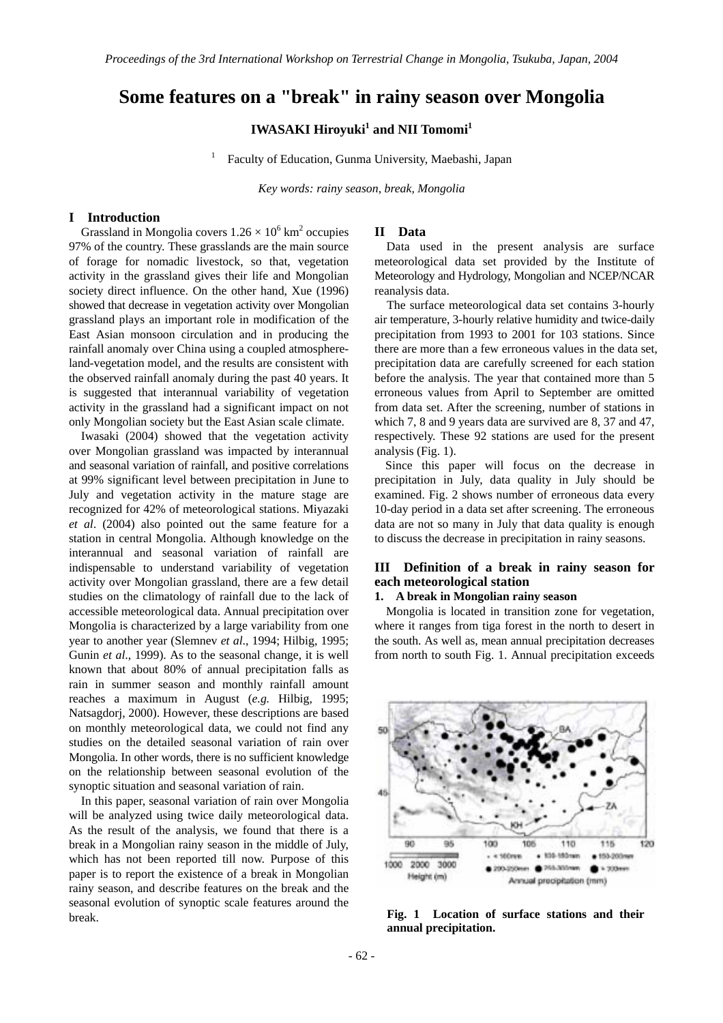# **Some features on a "break" in rainy season over Mongolia**

## $\mathbf{IWASAKI}\ \mathbf{Hiroyuki}^{1}$  and  $\mathbf{NII}\ \mathbf{Tomomi}^{1}$

1 Faculty of Education, Gunma University, Maebashi, Japan

*Key words: rainy season, break, Mongolia* 

#### **I Introduction**

Grassland in Mongolia covers  $1.26 \times 10^6$  km<sup>2</sup> occupies 97% of the country. These grasslands are the main source of forage for nomadic livestock, so that, vegetation activity in the grassland gives their life and Mongolian society direct influence. On the other hand, Xue (1996) showed that decrease in vegetation activity over Mongolian grassland plays an important role in modification of the East Asian monsoon circulation and in producing the rainfall anomaly over China using a coupled atmosphereland-vegetation model, and the results are consistent with the observed rainfall anomaly during the past 40 years. It is suggested that interannual variability of vegetation activity in the grassland had a significant impact on not only Mongolian society but the East Asian scale climate.

Iwasaki (2004) showed that the vegetation activity over Mongolian grassland was impacted by interannual and seasonal variation of rainfall, and positive correlations at 99% significant level between precipitation in June to July and vegetation activity in the mature stage are recognized for 42% of meteorological stations. Miyazaki *et al*. (2004) also pointed out the same feature for a station in central Mongolia. Although knowledge on the interannual and seasonal variation of rainfall are indispensable to understand variability of vegetation activity over Mongolian grassland, there are a few detail studies on the climatology of rainfall due to the lack of accessible meteorological data. Annual precipitation over Mongolia is characterized by a large variability from one year to another year (Slemnev *et al*., 1994; Hilbig, 1995; Gunin *et al*., 1999). As to the seasonal change, it is well known that about 80% of annual precipitation falls as rain in summer season and monthly rainfall amount reaches a maximum in August (*e.g.* Hilbig, 1995; Natsagdorj, 2000). However, these descriptions are based on monthly meteorological data, we could not find any studies on the detailed seasonal variation of rain over Mongolia. In other words, there is no sufficient knowledge on the relationship between seasonal evolution of the synoptic situation and seasonal variation of rain.

In this paper, seasonal variation of rain over Mongolia will be analyzed using twice daily meteorological data. As the result of the analysis, we found that there is a break in a Mongolian rainy season in the middle of July, which has not been reported till now. Purpose of this paper is to report the existence of a break in Mongolian rainy season, and describe features on the break and the seasonal evolution of synoptic scale features around the break.

## **II Data**

Data used in the present analysis are surface meteorological data set provided by the Institute of Meteorology and Hydrology, Mongolian and NCEP/NCAR reanalysis data.

The surface meteorological data set contains 3-hourly air temperature, 3-hourly relative humidity and twice-daily precipitation from 1993 to 2001 for 103 stations. Since there are more than a few erroneous values in the data set, precipitation data are carefully screened for each station before the analysis. The year that contained more than 5 erroneous values from April to September are omitted from data set. After the screening, number of stations in which 7, 8 and 9 years data are survived are 8, 37 and 47, respectively. These 92 stations are used for the present analysis (Fig. 1).

Since this paper will focus on the decrease in precipitation in July, data quality in July should be examined. Fig. 2 shows number of erroneous data every 10-day period in a data set after screening. The erroneous data are not so many in July that data quality is enough to discuss the decrease in precipitation in rainy seasons.

## **III Definition of a break in rainy season for each meteorological station**

#### **1. A break in Mongolian rainy season**

Mongolia is located in transition zone for vegetation, where it ranges from tiga forest in the north to desert in the south. As well as, mean annual precipitation decreases from north to south Fig. 1. Annual precipitation exceeds



**Fig. 1 Location of surface stations and their annual precipitation.**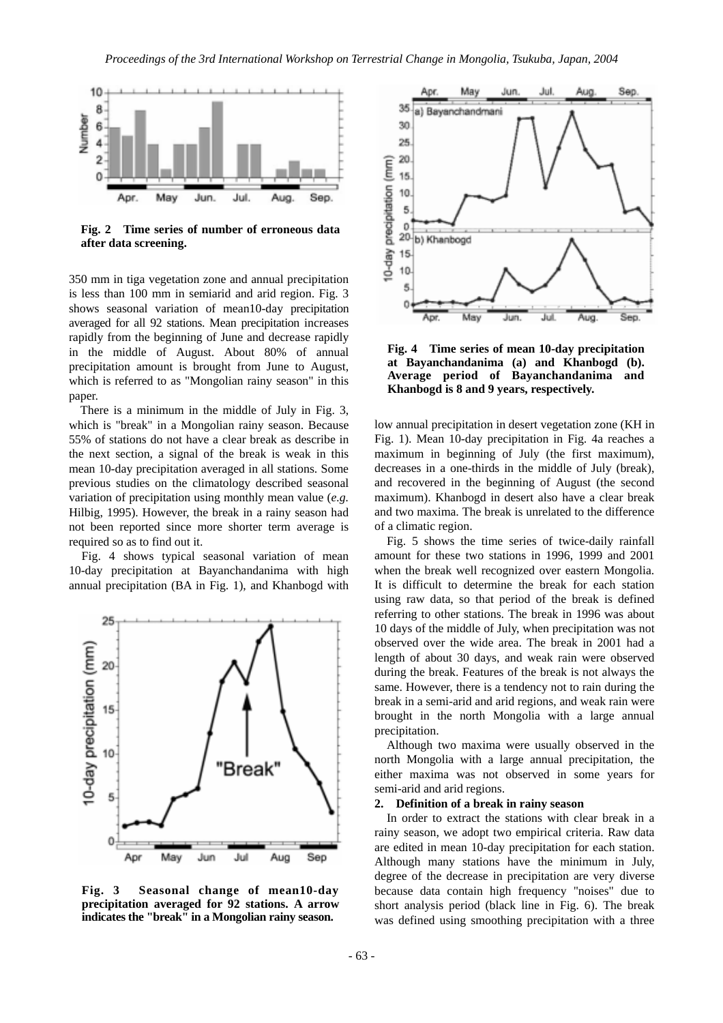

**Fig. 2 Time series of number of erroneous data after data screening.** 

350 mm in tiga vegetation zone and annual precipitation is less than 100 mm in semiarid and arid region. Fig. 3 shows seasonal variation of mean10-day precipitation averaged for all 92 stations. Mean precipitation increases rapidly from the beginning of June and decrease rapidly in the middle of August. About 80% of annual precipitation amount is brought from June to August, which is referred to as "Mongolian rainy season" in this paper.

There is a minimum in the middle of July in Fig. 3, which is "break" in a Mongolian rainy season. Because 55% of stations do not have a clear break as describe in the next section, a signal of the break is weak in this mean 10-day precipitation averaged in all stations. Some previous studies on the climatology described seasonal variation of precipitation using monthly mean value (*e.g.* Hilbig, 1995). However, the break in a rainy season had not been reported since more shorter term average is required so as to find out it.

Fig. 4 shows typical seasonal variation of mean 10-day precipitation at Bayanchandanima with high annual precipitation (BA in Fig. 1), and Khanbogd with



**Fig. 3 Seasonal change of mean10-day precipitation averaged for 92 stations. A arrow indicates the "break" in a Mongolian rainy season.** 



**Fig. 4 Time series of mean 10-day precipitation at Bayanchandanima (a) and Khanbogd (b). Average period of Bayanchandanima and Khanbogd is 8 and 9 years, respectively.** 

low annual precipitation in desert vegetation zone (KH in Fig. 1). Mean 10-day precipitation in Fig. 4a reaches a maximum in beginning of July (the first maximum), decreases in a one-thirds in the middle of July (break), and recovered in the beginning of August (the second maximum). Khanbogd in desert also have a clear break and two maxima. The break is unrelated to the difference of a climatic region.

Fig. 5 shows the time series of twice-daily rainfall amount for these two stations in 1996, 1999 and 2001 when the break well recognized over eastern Mongolia. It is difficult to determine the break for each station using raw data, so that period of the break is defined referring to other stations. The break in 1996 was about 10 days of the middle of July, when precipitation was not observed over the wide area. The break in 2001 had a length of about 30 days, and weak rain were observed during the break. Features of the break is not always the same. However, there is a tendency not to rain during the break in a semi-arid and arid regions, and weak rain were brought in the north Mongolia with a large annual precipitation.

Although two maxima were usually observed in the north Mongolia with a large annual precipitation, the either maxima was not observed in some years for semi-arid and arid regions.

#### **2. Definition of a break in rainy season**

In order to extract the stations with clear break in a rainy season, we adopt two empirical criteria. Raw data are edited in mean 10-day precipitation for each station. Although many stations have the minimum in July, degree of the decrease in precipitation are very diverse because data contain high frequency "noises" due to short analysis period (black line in Fig. 6). The break was defined using smoothing precipitation with a three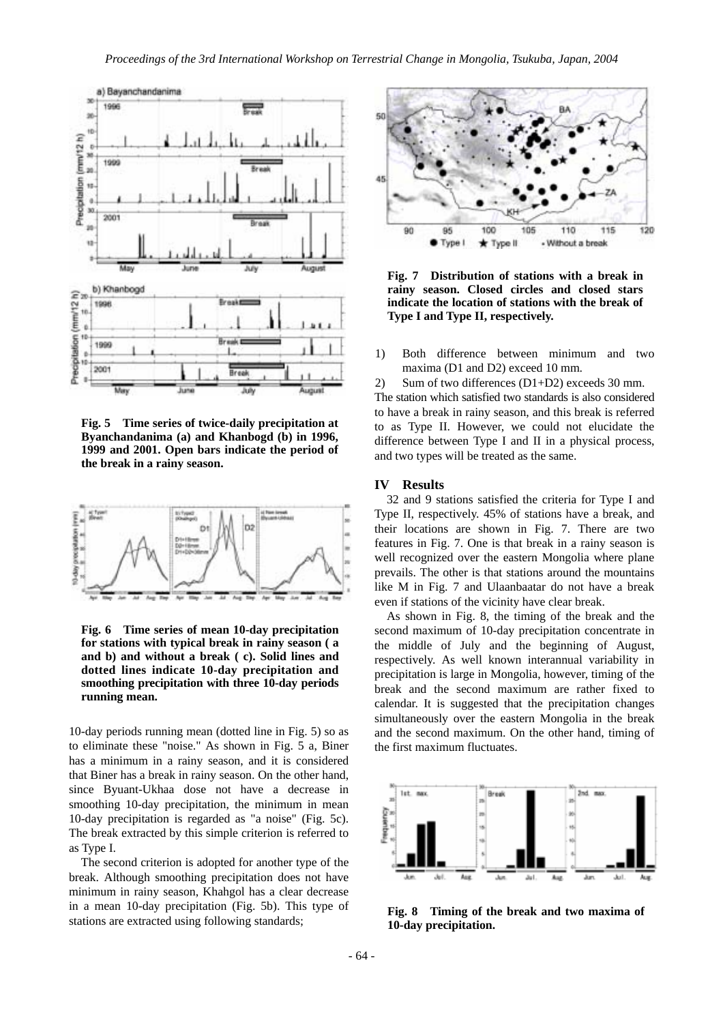

**Fig. 5 Time series of twice-daily precipitation at Byanchandanima (a) and Khanbogd (b) in 1996, 1999 and 2001. Open bars indicate the period of the break in a rainy season.**



**Fig. 6 Time series of mean 10-day precipitation for stations with typical break in rainy season ( a and b) and without a break ( c). Solid lines and dotted lines indicate 10-day precipitation and smoothing precipitation with three 10-day periods running mean.** 

10-day periods running mean (dotted line in Fig. 5) so as to eliminate these "noise." As shown in Fig. 5 a, Biner has a minimum in a rainy season, and it is considered that Biner has a break in rainy season. On the other hand, since Byuant-Ukhaa dose not have a decrease in smoothing 10-day precipitation, the minimum in mean 10-day precipitation is regarded as "a noise" (Fig. 5c). The break extracted by this simple criterion is referred to as Type I.

The second criterion is adopted for another type of the break. Although smoothing precipitation does not have minimum in rainy season, Khahgol has a clear decrease in a mean 10-day precipitation (Fig. 5b). This type of stations are extracted using following standards;



**Fig. 7 Distribution of stations with a break in rainy season. Closed circles and closed stars indicate the location of stations with the break of Type I and Type II, respectively.** 

1) Both difference between minimum and two maxima (D1 and D2) exceed 10 mm.

2) Sum of two differences (D1+D2) exceeds 30 mm. The station which satisfied two standards is also considered to have a break in rainy season, and this break is referred to as Type II. However, we could not elucidate the difference between Type I and II in a physical process, and two types will be treated as the same.

#### **IV Results**

32 and 9 stations satisfied the criteria for Type I and Type II, respectively. 45% of stations have a break, and their locations are shown in Fig. 7. There are two features in Fig. 7. One is that break in a rainy season is well recognized over the eastern Mongolia where plane prevails. The other is that stations around the mountains like M in Fig. 7 and Ulaanbaatar do not have a break even if stations of the vicinity have clear break.

As shown in Fig. 8, the timing of the break and the second maximum of 10-day precipitation concentrate in the middle of July and the beginning of August, respectively. As well known interannual variability in precipitation is large in Mongolia, however, timing of the break and the second maximum are rather fixed to calendar. It is suggested that the precipitation changes simultaneously over the eastern Mongolia in the break and the second maximum. On the other hand, timing of the first maximum fluctuates.



**Fig. 8 Timing of the break and two maxima of 10-day precipitation.**